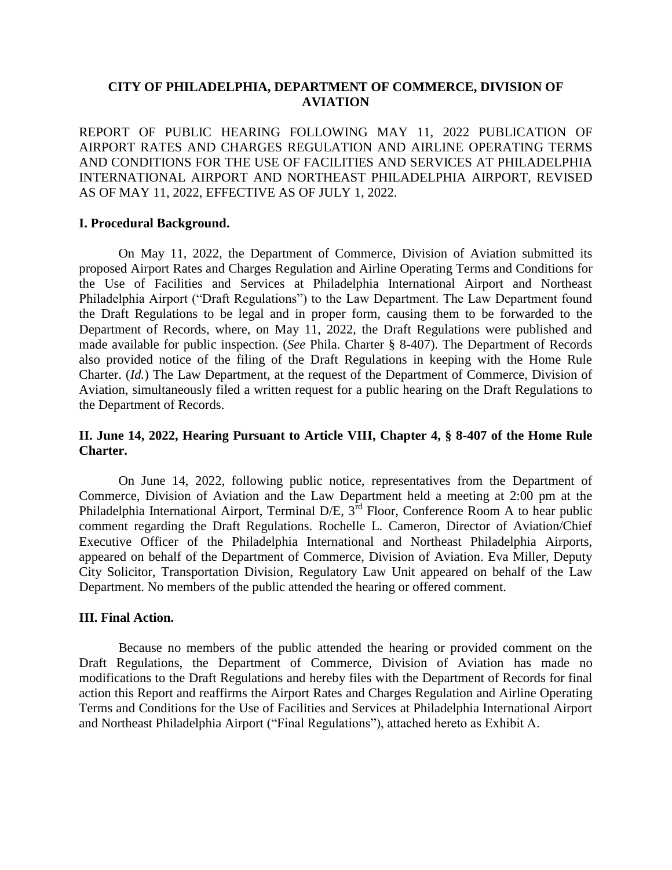## **CITY OF PHILADELPHIA, DEPARTMENT OF COMMERCE, DIVISION OF AVIATION**

REPORT OF PUBLIC HEARING FOLLOWING MAY 11, 2022 PUBLICATION OF AIRPORT RATES AND CHARGES REGULATION AND AIRLINE OPERATING TERMS AND CONDITIONS FOR THE USE OF FACILITIES AND SERVICES AT PHILADELPHIA INTERNATIONAL AIRPORT AND NORTHEAST PHILADELPHIA AIRPORT, REVISED AS OF MAY 11, 2022, EFFECTIVE AS OF JULY 1, 2022.

### **I. Procedural Background.**

On May 11, 2022, the Department of Commerce, Division of Aviation submitted its proposed Airport Rates and Charges Regulation and Airline Operating Terms and Conditions for the Use of Facilities and Services at Philadelphia International Airport and Northeast Philadelphia Airport ("Draft Regulations") to the Law Department. The Law Department found the Draft Regulations to be legal and in proper form, causing them to be forwarded to the Department of Records, where, on May 11, 2022, the Draft Regulations were published and made available for public inspection. (*See* Phila. Charter § 8-407). The Department of Records also provided notice of the filing of the Draft Regulations in keeping with the Home Rule Charter. (*Id.*) The Law Department, at the request of the Department of Commerce, Division of Aviation, simultaneously filed a written request for a public hearing on the Draft Regulations to the Department of Records.

## **II. June 14, 2022, Hearing Pursuant to Article VIII, Chapter 4, § 8-407 of the Home Rule Charter.**

On June 14, 2022, following public notice, representatives from the Department of Commerce, Division of Aviation and the Law Department held a meeting at 2:00 pm at the Philadelphia International Airport, Terminal D/E,  $3^{rd}$  Floor, Conference Room A to hear public comment regarding the Draft Regulations. Rochelle L. Cameron, Director of Aviation/Chief Executive Officer of the Philadelphia International and Northeast Philadelphia Airports, appeared on behalf of the Department of Commerce, Division of Aviation. Eva Miller, Deputy City Solicitor, Transportation Division, Regulatory Law Unit appeared on behalf of the Law Department. No members of the public attended the hearing or offered comment.

### **III. Final Action.**

Because no members of the public attended the hearing or provided comment on the Draft Regulations, the Department of Commerce, Division of Aviation has made no modifications to the Draft Regulations and hereby files with the Department of Records for final action this Report and reaffirms the Airport Rates and Charges Regulation and Airline Operating Terms and Conditions for the Use of Facilities and Services at Philadelphia International Airport and Northeast Philadelphia Airport ("Final Regulations"), attached hereto as Exhibit A.